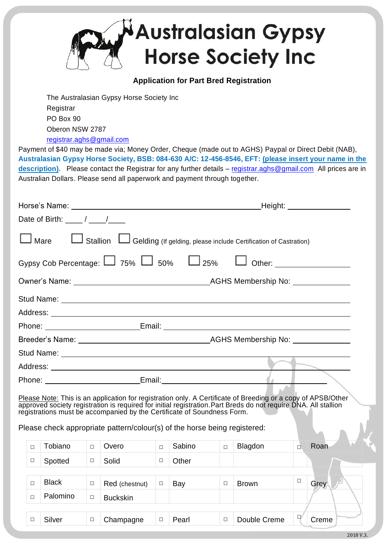

## **Application for Part Bred Registration**

The Australasian Gypsy Horse Society Inc **Registrar** PO Box 90 Oberon NSW 2787 [registrar.aghs@gmail.com](mailto:registrar.aghs@gmail.com)

Payment of \$40 may be made via; Money Order, Cheque (made out to AGHS) Paypal or Direct Debit (NAB), **Australasian Gypsy Horse Society, BSB: 084-630 A/C: 12-456-8546, EFT: (please insert your name in the description).** Please contact the Registrar for any further details – [registrar.aghs@gmail.com](mailto:registrar.aghs@gmail.com) All prices are in Australian Dollars. Please send all paperwork and payment through together.

|                                                      | _Height: _________________                                                  |
|------------------------------------------------------|-----------------------------------------------------------------------------|
| Date of Birth: $\frac{\mu}{\mu}$ / $\frac{\mu}{\mu}$ |                                                                             |
|                                                      | Stallion L Gelding (If gelding, please include Certification of Castration) |
|                                                      | Gypsy Cob Percentage: $\Box$ 75% $\Box$ 50% $\Box$ 25% $\Box$ Other:        |
|                                                      |                                                                             |
|                                                      |                                                                             |
|                                                      |                                                                             |
|                                                      |                                                                             |
|                                                      |                                                                             |
|                                                      |                                                                             |
|                                                      |                                                                             |
|                                                      |                                                                             |
|                                                      |                                                                             |

Please Note: This is an application for registration only. A Certificate of Breeding or a copy of APSB/Other approved society registration is required for initial registration.Part Breds do not require DNA. All stallion registrations must be accompanied by the Certificate of Soundness Form.

Please check appropriate pattern/colour(s) of the horse being registered:

| $\Box$ | Tobiano      | $\Box$ | Overo           | $\Box$ | Sabino | $\Box$ | Blagdon      | □      | Roan  |
|--------|--------------|--------|-----------------|--------|--------|--------|--------------|--------|-------|
| Г      | Spotted      | $\Box$ | Solid           |        | Other  |        |              |        |       |
|        |              |        |                 |        |        |        |              |        |       |
|        | <b>Black</b> | $\Box$ | Red (chestnut)  | $\Box$ | Bay    | $\Box$ | <b>Brown</b> | $\Box$ | Grey  |
| $\Box$ | Palomino     | $\Box$ | <b>Buckskin</b> |        |        |        |              |        |       |
|        |              |        |                 |        |        |        |              |        |       |
|        | Silver       | $\Box$ | Champagne       | $\Box$ | Pearl  | $\Box$ | Double Creme | $\Box$ | Creme |